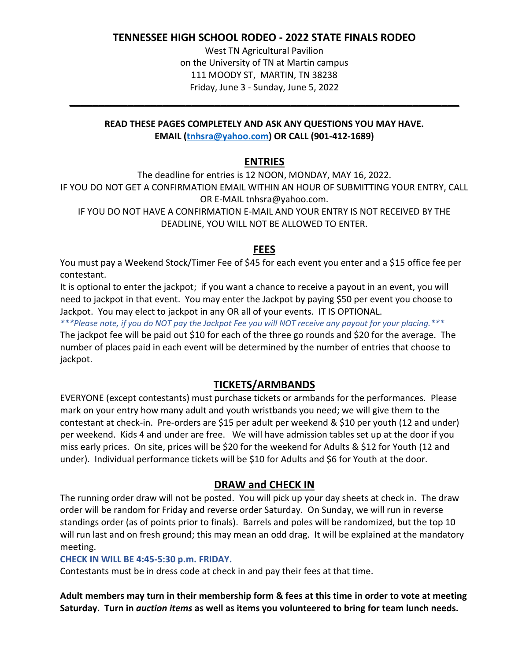### **TENNESSEE HIGH SCHOOL RODEO - 2022 STATE FINALS RODEO**

West TN Agricultural Pavilion on the University of TN at Martin campus 111 MOODY ST, MARTIN, TN 38238 Friday, June 3 - Sunday, June 5, 2022

#### **READ THESE PAGES COMPLETELY AND ASK ANY QUESTIONS YOU MAY HAVE. EMAIL [\(tnhsra@yahoo.com\)](mailto:tnhsra@yahoo.com) OR CALL (901-412-1689)**

**\_\_\_\_\_\_\_\_\_\_\_\_\_\_\_\_\_\_\_\_\_\_\_\_\_\_\_\_\_\_\_\_\_\_\_\_\_\_\_\_\_\_\_\_\_\_\_\_\_\_\_\_\_\_\_\_\_\_\_\_\_\_\_\_\_\_\_**

## **ENTRIES**

The deadline for entries is 12 NOON, MONDAY, MAY 16, 2022. IF YOU DO NOT GET A CONFIRMATION EMAIL WITHIN AN HOUR OF SUBMITTING YOUR ENTRY, CALL OR E-MAIL tnhsra@yahoo.com. IF YOU DO NOT HAVE A CONFIRMATION E-MAIL AND YOUR ENTRY IS NOT RECEIVED BY THE DEADLINE, YOU WILL NOT BE ALLOWED TO ENTER.

# **FEES**

You must pay a Weekend Stock/Timer Fee of \$45 for each event you enter and a \$15 office fee per contestant.

It is optional to enter the jackpot; if you want a chance to receive a payout in an event, you will need to jackpot in that event. You may enter the Jackpot by paying \$50 per event you choose to Jackpot. You may elect to jackpot in any OR all of your events. IT IS OPTIONAL.

*\*\*\*Please note, if you do NOT pay the Jackpot Fee you will NOT receive any payout for your placing.\*\*\** The jackpot fee will be paid out \$10 for each of the three go rounds and \$20 for the average. The number of places paid in each event will be determined by the number of entries that choose to jackpot.

# **TICKETS/ARMBANDS**

EVERYONE (except contestants) must purchase tickets or armbands for the performances. Please mark on your entry how many adult and youth wristbands you need; we will give them to the contestant at check-in. Pre-orders are \$15 per adult per weekend & \$10 per youth (12 and under) per weekend. Kids 4 and under are free. We will have admission tables set up at the door if you miss early prices. On site, prices will be \$20 for the weekend for Adults & \$12 for Youth (12 and under). Individual performance tickets will be \$10 for Adults and \$6 for Youth at the door.

# **DRAW and CHECK IN**

The running order draw will not be posted. You will pick up your day sheets at check in. The draw order will be random for Friday and reverse order Saturday. On Sunday, we will run in reverse standings order (as of points prior to finals). Barrels and poles will be randomized, but the top 10 will run last and on fresh ground; this may mean an odd drag. It will be explained at the mandatory meeting.

#### **CHECK IN WILL BE 4:45-5:30 p.m. FRIDAY.**

Contestants must be in dress code at check in and pay their fees at that time.

**Adult members may turn in their membership form & fees at this time in order to vote at meeting Saturday. Turn in** *auction items* **as well as items you volunteered to bring for team lunch needs.**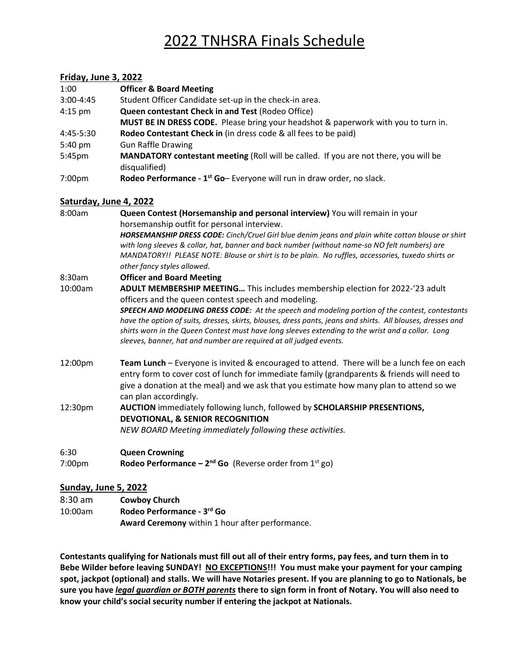# 2022 TNHSRA Finals Schedule

#### **Friday, June 3, 2022**

| 1:00          | <b>Officer &amp; Board Meeting</b>                                                                    |
|---------------|-------------------------------------------------------------------------------------------------------|
| $3:00 - 4:45$ | Student Officer Candidate set-up in the check-in area.                                                |
| $4:15$ pm     | Queen contestant Check in and Test (Rodeo Office)                                                     |
|               | MUST BE IN DRESS CODE. Please bring your headshot & paperwork with you to turn in.                    |
| 4:45-5:30     | Rodeo Contestant Check in (in dress code & all fees to be paid)                                       |
| 5:40 pm       | <b>Gun Raffle Drawing</b>                                                                             |
| 5:45pm        | MANDATORY contestant meeting (Roll will be called. If you are not there, you will be<br>disqualified) |
| 7:00pm        | Rodeo Performance - 1 <sup>st</sup> Go- Everyone will run in draw order, no slack.                    |

#### **Saturday, June 4, 2022**

| 8:00am         | Queen Contest (Horsemanship and personal interview) You will remain in your<br>horsemanship outfit for personal interview.<br>HORSEMANSHIP DRESS CODE: Cinch/Cruel Girl blue denim jeans and plain white cotton blouse or shirt<br>with long sleeves & collar, hat, banner and back number (without name-so NO felt numbers) are<br>MANDATORY!! PLEASE NOTE: Blouse or shirt is to be plain. No ruffles, accessories, tuxedo shirts or<br>other fancy styles allowed.                                                            |
|----------------|----------------------------------------------------------------------------------------------------------------------------------------------------------------------------------------------------------------------------------------------------------------------------------------------------------------------------------------------------------------------------------------------------------------------------------------------------------------------------------------------------------------------------------|
| 8:30am         | <b>Officer and Board Meeting</b>                                                                                                                                                                                                                                                                                                                                                                                                                                                                                                 |
| 10:00am        | ADULT MEMBERSHIP MEETING This includes membership election for 2022-'23 adult<br>officers and the queen contest speech and modeling.<br>SPEECH AND MODELING DRESS CODE: At the speech and modeling portion of the contest, contestants<br>have the option of suits, dresses, skirts, blouses, dress pants, jeans and shirts. All blouses, dresses and<br>shirts worn in the Queen Contest must have long sleeves extending to the wrist and a collar. Long<br>sleeves, banner, hat and number are required at all judged events. |
| 12:00pm        | Team Lunch - Everyone is invited & encouraged to attend. There will be a lunch fee on each<br>entry form to cover cost of lunch for immediate family (grandparents & friends will need to<br>give a donation at the meal) and we ask that you estimate how many plan to attend so we<br>can plan accordingly.                                                                                                                                                                                                                    |
| 12:30pm        | AUCTION immediately following lunch, followed by SCHOLARSHIP PRESENTIONS,<br><b>DEVOTIONAL, &amp; SENIOR RECOGNITION</b><br>NEW BOARD Meeting immediately following these activities.                                                                                                                                                                                                                                                                                                                                            |
| 6:30<br>7:00pm | <b>Queen Crowning</b><br><b>Rodeo Performance – 2<sup>nd</sup> Go</b> (Reverse order from $1^{st}$ go)                                                                                                                                                                                                                                                                                                                                                                                                                           |
|                |                                                                                                                                                                                                                                                                                                                                                                                                                                                                                                                                  |

#### **Sunday, June 5, 2022**

| $8:30$ am | <b>Cowboy Church</b>                            |
|-----------|-------------------------------------------------|
| 10:00am   | Rodeo Performance - 3rd Go                      |
|           | Award Ceremony within 1 hour after performance. |

**Contestants qualifying for Nationals must fill out all of their entry forms, pay fees, and turn them in to Bebe Wilder before leaving SUNDAY! NO EXCEPTIONS!!! You must make your payment for your camping spot, jackpot (optional) and stalls. We will have Notaries present. If you are planning to go to Nationals, be sure you have** *legal guardian or BOTH parents* **there to sign form in front of Notary. You will also need to know your child's social security number if entering the jackpot at Nationals.**